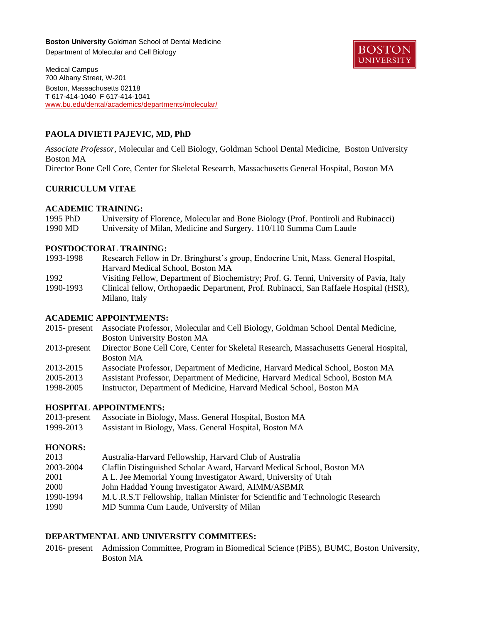**Boston University** Goldman School of Dental Medicine Department of Molecular and Cell Biology



Medical Campus 700 Albany Street, W-201 Boston, Massachusetts 02118 T 617-414-1040 F 617-414-1041 [www.bu.edu/dental/academics/departments/molecular/](http://www.bu.edu/dental/academics/departments/molecular/)

# **PAOLA DIVIETI PAJEVIC, MD, PhD**

*Associate Professor*, Molecular and Cell Biology, Goldman School Dental Medicine, Boston University Boston MA Director Bone Cell Core, Center for Skeletal Research, Massachusetts General Hospital, Boston MA

### **CURRICULUM VITAE**

### **ACADEMIC TRAINING:**

| 1995 PhD | University of Florence, Molecular and Bone Biology (Prof. Pontiroli and Rubinacci) |
|----------|------------------------------------------------------------------------------------|
| 1990 MD  | University of Milan, Medicine and Surgery. 110/110 Summa Cum Laude                 |

### **POSTDOCTORAL TRAINING:**

| 1993-1998 | Research Fellow in Dr. Bringhurst's group, Endocrine Unit, Mass. General Hospital,      |
|-----------|-----------------------------------------------------------------------------------------|
|           | Harvard Medical School, Boston MA                                                       |
| 1992      | Visiting Fellow, Department of Biochemistry; Prof. G. Tenni, University of Pavia, Italy |
| 1990-1993 | Clinical fellow, Orthopaedic Department, Prof. Rubinacci, San Raffaele Hospital (HSR),  |
|           | Milano, Italy                                                                           |

### **ACADEMIC APPOINTMENTS:**

2015- present Associate Professor, Molecular and Cell Biology, Goldman School Dental Medicine, Boston University Boston MA

- 2013-present Director Bone Cell Core, Center for Skeletal Research, Massachusetts General Hospital, Boston MA
- 2013-2015 Associate Professor, Department of Medicine, Harvard Medical School, Boston MA
- 2005-2013 Assistant Professor, Department of Medicine, Harvard Medical School, Boston MA
- 1998-2005 Instructor, Department of Medicine, Harvard Medical School, Boston MA

# **HOSPITAL APPOINTMENTS:**

2013-present Associate in Biology, Mass. General Hospital, Boston MA 1999-2013 Assistant in Biology, Mass. General Hospital, Boston MA

### **HONORS:**

| 2013<br>Australia-Harvard Fellowship, Harvard Club of Australia                             |  |
|---------------------------------------------------------------------------------------------|--|
| 2003-2004<br>Claflin Distinguished Scholar Award, Harvard Medical School, Boston MA         |  |
| 2001<br>A L. Jee Memorial Young Investigator Award, University of Utah                      |  |
| 2000<br>John Haddad Young Investigator Award, AIMM/ASBMR                                    |  |
| 1990-1994<br>M.U.R.S.T Fellowship, Italian Minister for Scientific and Technologic Research |  |
| 1990<br>MD Summa Cum Laude, University of Milan                                             |  |

## **DEPARTMENTAL AND UNIVERSITY COMMITEES:**

2016- present Admission Committee, Program in Biomedical Science (PiBS), BUMC, Boston University, Boston MA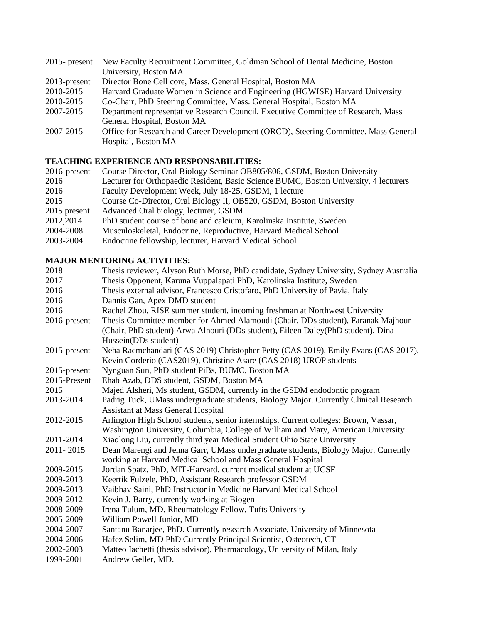| $2015$ - present | New Faculty Recruitment Committee, Goldman School of Dental Medicine, Boston        |
|------------------|-------------------------------------------------------------------------------------|
|                  | University, Boston MA                                                               |
| $2013$ -present  | Director Bone Cell core, Mass. General Hospital, Boston MA                          |
| 2010-2015        | Harvard Graduate Women in Science and Engineering (HGWISE) Harvard University       |
| 2010-2015        | Co-Chair, PhD Steering Committee, Mass. General Hospital, Boston MA                 |
| 2007-2015        | Department representative Research Council, Executive Committee of Research, Mass   |
|                  | General Hospital, Boston MA                                                         |
| 2007-2015        | Office for Research and Career Development (ORCD), Steering Committee. Mass General |
|                  | Hospital, Boston MA                                                                 |

# **TEACHING EXPERIENCE AND RESPONSABILITIES:**

| $2016$ -present | Course Director, Oral Biology Seminar OB805/806, GSDM, Boston University              |
|-----------------|---------------------------------------------------------------------------------------|
| 2016            | Lecturer for Orthopaedic Resident, Basic Science BUMC, Boston University, 4 lecturers |
| 2016            | Faculty Development Week, July 18-25, GSDM, 1 lecture                                 |
| 2015            | Course Co-Director, Oral Biology II, OB520, GSDM, Boston University                   |
| 2015 present    | Advanced Oral biology, lecturer, GSDM                                                 |
| 2012,2014       | PhD student course of bone and calcium, Karolinska Institute, Sweden                  |
| 2004-2008       | Musculoskeletal, Endocrine, Reproductive, Harvard Medical School                      |
| 2003-2004       | Endocrine fellowship, lecturer, Harvard Medical School                                |

# **MAJOR MENTORING ACTIVITIES:**

| 2018            | Thesis reviewer, Alyson Ruth Morse, PhD candidate, Sydney University, Sydney Australia |
|-----------------|----------------------------------------------------------------------------------------|
| 2017            | Thesis Opponent, Karuna Vuppalapati PhD, Karolinska Institute, Sweden                  |
| 2016            | Thesis external advisor, Francesco Cristofaro, PhD University of Pavia, Italy          |
| 2016            | Dannis Gan, Apex DMD student                                                           |
| 2016            | Rachel Zhou, RISE summer student, incoming freshman at Northwest University            |
| 2016-present    | Thesis Committee member for Ahmed Alamoudi (Chair. DDs student), Faranak Majhour       |
|                 | (Chair, PhD student) Arwa Alnouri (DDs student), Eileen Daley(PhD student), Dina       |
|                 | Hussein(DDs student)                                                                   |
| $2015$ -present | Neha Racmchandari (CAS 2019) Christopher Petty (CAS 2019), Emily Evans (CAS 2017),     |
|                 | Kevin Corderio (CAS2019), Christine Asare (CAS 2018) UROP students                     |
| 2015-present    | Nynguan Sun, PhD student PiBs, BUMC, Boston MA                                         |
| 2015-Present    | Ehab Azab, DDS student, GSDM, Boston MA                                                |
| 2015            | Majed Alsheri, Ms student, GSDM, currently in the GSDM endodontic program              |
| 2013-2014       | Padrig Tuck, UMass undergraduate students, Biology Major. Currently Clinical Research  |
|                 | <b>Assistant at Mass General Hospital</b>                                              |
| 2012-2015       | Arlington High School students, senior internships. Current colleges: Brown, Vassar,   |
|                 | Washington University, Columbia, College of William and Mary, American University      |
| 2011-2014       | Xiaolong Liu, currently third year Medical Student Ohio State University               |
| 2011-2015       | Dean Marengi and Jenna Garr, UMass undergraduate students, Biology Major. Currently    |
|                 | working at Harvard Medical School and Mass General Hospital                            |
| 2009-2015       | Jordan Spatz. PhD, MIT-Harvard, current medical student at UCSF                        |
| 2009-2013       | Keertik Fulzele, PhD, Assistant Research professor GSDM                                |
| 2009-2013       | Vaibhav Saini, PhD Instructor in Medicine Harvard Medical School                       |
| 2009-2012       | Kevin J. Barry, currently working at Biogen                                            |
| 2008-2009       | Irena Tulum, MD. Rheumatology Fellow, Tufts University                                 |
| 2005-2009       | William Powell Junior, MD                                                              |
| 2004-2007       | Santanu Banarjee, PhD. Currently research Associate, University of Minnesota           |
| 2004-2006       | Hafez Selim, MD PhD Currently Principal Scientist, Osteotech, CT                       |
| 2002-2003       | Matteo Iachetti (thesis advisor), Pharmacology, University of Milan, Italy             |
| 1999-2001       | Andrew Geller, MD.                                                                     |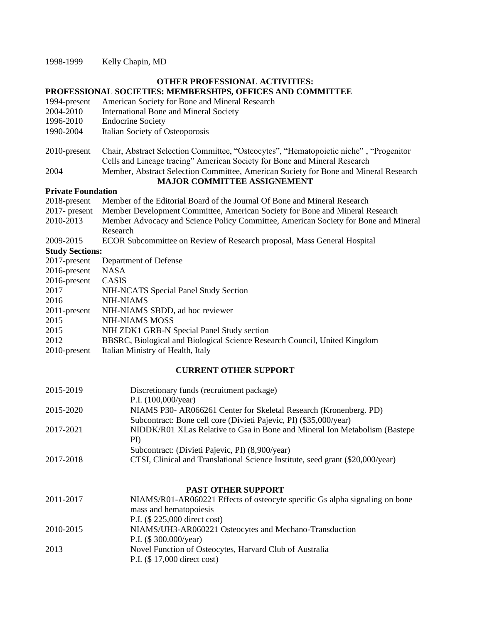1998-1999 Kelly Chapin, MD

# **OTHER PROFESSIONAL ACTIVITIES:**

# **PROFESSIONAL SOCIETIES: MEMBERSHIPS, OFFICES AND COMMITTEE**

- 1994-present American Society for Bone and Mineral Research
- 2004-2010 International Bone and Mineral Society
- 1996-2010 Endocrine Society
- 1990-2004 Italian Society of Osteoporosis
- 2010-present Chair, Abstract Selection Committee, "Osteocytes", "Hematopoietic niche" , "Progenitor Cells and Lineage tracing" American Society for Bone and Mineral Research
- 2004 Member, Abstract Selection Committee, American Society for Bone and Mineral Research **MAJOR COMMITTEE ASSIGNEMENT**

#### **Private Foundation**

| 1 TIVALE L'UUMUALIUM   |                                                                                     |
|------------------------|-------------------------------------------------------------------------------------|
| 2018-present           | Member of the Editorial Board of the Journal Of Bone and Mineral Research           |
| $2017$ - present       | Member Development Committee, American Society for Bone and Mineral Research        |
| 2010-2013              | Member Advocacy and Science Policy Committee, American Society for Bone and Mineral |
|                        | Research                                                                            |
| 2009-2015              | ECOR Subcommittee on Review of Research proposal, Mass General Hospital             |
| <b>Study Sections:</b> |                                                                                     |
| 2017-present           | Department of Defense                                                               |
| $2016$ -present        | <b>NASA</b>                                                                         |
|                        |                                                                                     |

| $2010$ probline | 111 NJ 1                                                                  |
|-----------------|---------------------------------------------------------------------------|
| $2016$ -present | CASIS                                                                     |
| 2017            | NIH-NCATS Special Panel Study Section                                     |
| 2016            | NIH-NIAMS                                                                 |
| $2011$ -present | NIH-NIAMS SBDD, ad hoc reviewer                                           |
| 2015            | <b>NIH-NIAMS MOSS</b>                                                     |
| 2015            | NIH ZDK1 GRB-N Special Panel Study section                                |
| 2012            | BBSRC, Biological and Biological Science Research Council, United Kingdom |
| $2010$ -present | Italian Ministry of Health, Italy                                         |
|                 |                                                                           |

### **CURRENT OTHER SUPPORT**

| 2015-2019 | Discretionary funds (recruitment package)                                      |
|-----------|--------------------------------------------------------------------------------|
|           | P.I. $(100,000/\text{year})$                                                   |
| 2015-2020 | NIAMS P30- AR066261 Center for Skeletal Research (Kronenberg. PD)              |
|           | Subcontract: Bone cell core (Divieti Pajevic, PI) (\$35,000/year)              |
| 2017-2021 | NIDDK/R01 XLas Relative to Gsa in Bone and Mineral Ion Metabolism (Bastepe)    |
|           | PI)                                                                            |
|           | Subcontract: (Divieti Pajevic, PI) (8,900/year)                                |
| 2017-2018 | CTSI, Clinical and Translational Science Institute, seed grant (\$20,000/year) |
|           |                                                                                |

### **PAST OTHER SUPPORT**

| 2011-2017 | NIAMS/R01-AR060221 Effects of osteocyte specific Gs alpha signaling on bone |
|-----------|-----------------------------------------------------------------------------|
|           | mass and hematopoiesis                                                      |
|           | P.I. (\$ 225,000 direct cost)                                               |
| 2010-2015 | NIAMS/UH3-AR060221 Osteocytes and Mechano-Transduction                      |
|           | P.I. $(\$300.000/\text{year})$                                              |
| 2013      | Novel Function of Osteocytes, Harvard Club of Australia                     |
|           | P.I. (\$17,000 direct cost)                                                 |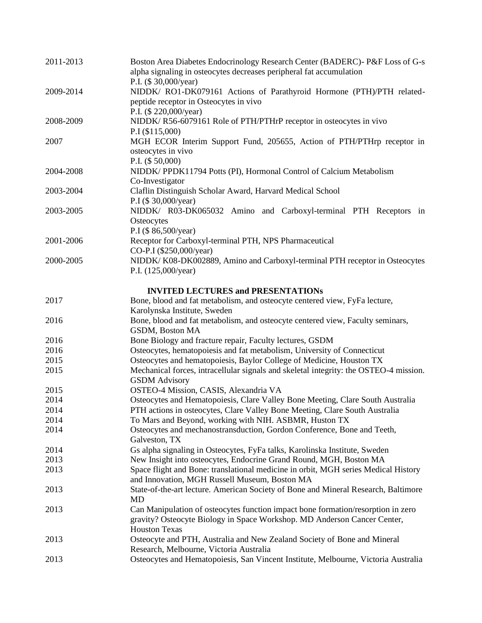| 2011-2013 | Boston Area Diabetes Endocrinology Research Center (BADERC)- P&F Loss of G-s<br>alpha signaling in osteocytes decreases peripheral fat accumulation<br>P.I. (\$30,000/year)          |
|-----------|--------------------------------------------------------------------------------------------------------------------------------------------------------------------------------------|
| 2009-2014 | NIDDK/ RO1-DK079161 Actions of Parathyroid Hormone (PTH)/PTH related-<br>peptide receptor in Osteocytes in vivo                                                                      |
| 2008-2009 | P.I. (\$ 220,000/year)<br>NIDDK/R56-6079161 Role of PTH/PTHrP receptor in osteocytes in vivo<br>P.I (\$115,000)                                                                      |
| 2007      | MGH ECOR Interim Support Fund, 205655, Action of PTH/PTHrp receptor in<br>osteocytes in vivo<br>P.I. (\$ 50,000)                                                                     |
| 2004-2008 | NIDDK/PPDK11794 Potts (PI), Hormonal Control of Calcium Metabolism<br>Co-Investigator                                                                                                |
| 2003-2004 | Claflin Distinguish Scholar Award, Harvard Medical School<br>P.I (\$30,000/year)                                                                                                     |
| 2003-2005 | NIDDK/ R03-DK065032 Amino and Carboxyl-terminal PTH Receptors in<br>Osteocytes<br>P.I (\$86,500/year)                                                                                |
| 2001-2006 | Receptor for Carboxyl-terminal PTH, NPS Pharmaceutical<br>CO-P.I (\$250,000/year)                                                                                                    |
| 2000-2005 | NIDDK/K08-DK002889, Amino and Carboxyl-terminal PTH receptor in Osteocytes<br>P.I. (125,000/year)                                                                                    |
|           | <b>INVITED LECTURES and PRESENTATIONS</b>                                                                                                                                            |
| 2017      | Bone, blood and fat metabolism, and osteocyte centered view, FyFa lecture,<br>Karolynska Institute, Sweden                                                                           |
| 2016      | Bone, blood and fat metabolism, and osteocyte centered view, Faculty seminars,<br>GSDM, Boston MA                                                                                    |
| 2016      | Bone Biology and fracture repair, Faculty lectures, GSDM                                                                                                                             |
| 2016      | Osteocytes, hematopoiesis and fat metabolism, University of Connecticut                                                                                                              |
| 2015      | Osteocytes and hematopoiesis, Baylor College of Medicine, Houston TX                                                                                                                 |
| 2015      | Mechanical forces, intracellular signals and skeletal integrity: the OSTEO-4 mission.<br><b>GSDM</b> Advisory                                                                        |
| 2015      | OSTEO-4 Mission, CASIS, Alexandria VA                                                                                                                                                |
| 2014      | Osteocytes and Hematopoiesis, Clare Valley Bone Meeting, Clare South Australia                                                                                                       |
| 2014      | PTH actions in osteocytes, Clare Valley Bone Meeting, Clare South Australia                                                                                                          |
| 2014      | To Mars and Beyond, working with NIH. ASBMR, Huston TX                                                                                                                               |
| 2014      | Osteocytes and mechanostransduction, Gordon Conference, Bone and Teeth,<br>Galveston, TX                                                                                             |
| 2014      | Gs alpha signaling in Osteocytes, FyFa talks, Karolinska Institute, Sweden                                                                                                           |
| 2013      | New Insight into osteocytes, Endocrine Grand Round, MGH, Boston MA                                                                                                                   |
| 2013      | Space flight and Bone: translational medicine in orbit, MGH series Medical History<br>and Innovation, MGH Russell Museum, Boston MA                                                  |
| 2013      | State-of-the-art lecture. American Society of Bone and Mineral Research, Baltimore<br>MD                                                                                             |
| 2013      | Can Manipulation of osteocytes function impact bone formation/resorption in zero<br>gravity? Osteocyte Biology in Space Workshop. MD Anderson Cancer Center,<br><b>Houston Texas</b> |
| 2013      | Osteocyte and PTH, Australia and New Zealand Society of Bone and Mineral<br>Research, Melbourne, Victoria Australia                                                                  |
| 2013      | Osteocytes and Hematopoiesis, San Vincent Institute, Melbourne, Victoria Australia                                                                                                   |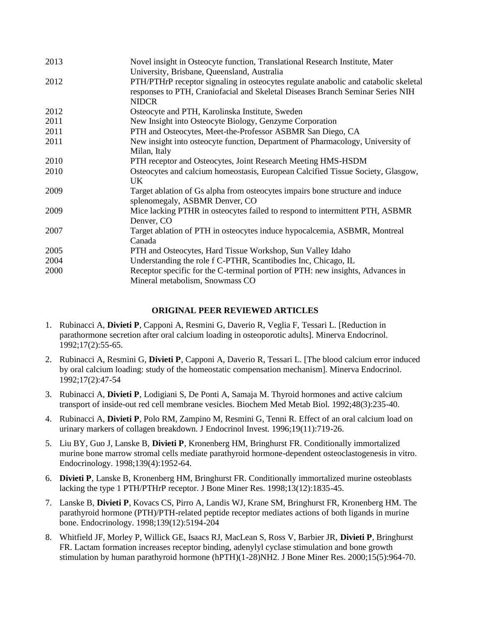| 2013 | Novel insight in Osteocyte function, Translational Research Institute, Mater<br>University, Brisbane, Queensland, Australia                                                           |
|------|---------------------------------------------------------------------------------------------------------------------------------------------------------------------------------------|
| 2012 | PTH/PTHrP receptor signaling in osteocytes regulate anabolic and catabolic skeletal<br>responses to PTH, Craniofacial and Skeletal Diseases Branch Seminar Series NIH<br><b>NIDCR</b> |
| 2012 | Osteocyte and PTH, Karolinska Institute, Sweden                                                                                                                                       |
| 2011 | New Insight into Osteocyte Biology, Genzyme Corporation                                                                                                                               |
| 2011 | PTH and Osteocytes, Meet-the-Professor ASBMR San Diego, CA                                                                                                                            |
| 2011 | New insight into osteocyte function, Department of Pharmacology, University of<br>Milan, Italy                                                                                        |
| 2010 | PTH receptor and Osteocytes, Joint Research Meeting HMS-HSDM                                                                                                                          |
| 2010 | Osteocytes and calcium homeostasis, European Calcified Tissue Society, Glasgow,<br>UK                                                                                                 |
| 2009 | Target ablation of Gs alpha from osteocytes impairs bone structure and induce<br>splenomegaly, ASBMR Denver, CO                                                                       |
| 2009 | Mice lacking PTHR in osteocytes failed to respond to intermittent PTH, ASBMR<br>Denver, CO                                                                                            |
| 2007 | Target ablation of PTH in osteocytes induce hypocalcemia, ASBMR, Montreal<br>Canada                                                                                                   |
| 2005 | PTH and Osteocytes, Hard Tissue Workshop, Sun Valley Idaho                                                                                                                            |
| 2004 | Understanding the role f C-PTHR, Scantibodies Inc, Chicago, IL                                                                                                                        |
| 2000 | Receptor specific for the C-terminal portion of PTH: new insights, Advances in<br>Mineral metabolism, Snowmass CO                                                                     |

#### **ORIGINAL PEER REVIEWED ARTICLES**

- 1. Rubinacci A, **Divieti P**, Capponi A, Resmini G, Daverio R, Veglia F, Tessari L. [Reduction in parathormone secretion after oral calcium loading in osteoporotic adults]. Minerva Endocrinol. 1992;17(2):55-65.
- 2. Rubinacci A, Resmini G, **Divieti P**, Capponi A, Daverio R, Tessari L. [The blood calcium error induced by oral calcium loading: study of the homeostatic compensation mechanism]. Minerva Endocrinol. 1992;17(2):47-54
- 3. Rubinacci A, **Divieti P**, Lodigiani S, De Ponti A, Samaja M. Thyroid hormones and active calcium transport of inside-out red cell membrane vesicles. Biochem Med Metab Biol. 1992;48(3):235-40.
- 4. Rubinacci A, **Divieti P**, Polo RM, Zampino M, Resmini G, Tenni R. Effect of an oral calcium load on urinary markers of collagen breakdown. J Endocrinol Invest. 1996;19(11):719-26.
- 5. Liu BY, Guo J, Lanske B, **Divieti P**, Kronenberg HM, Bringhurst FR. Conditionally immortalized murine bone marrow stromal cells mediate parathyroid hormone-dependent osteoclastogenesis in vitro. Endocrinology. 1998;139(4):1952-64.
- 6. **Divieti P**, Lanske B, Kronenberg HM, Bringhurst FR. Conditionally immortalized murine osteoblasts lacking the type 1 PTH/PTHrP receptor. J Bone Miner Res. 1998;13(12):1835-45.
- 7. Lanske B, **Divieti P**, Kovacs CS, Pirro A, Landis WJ, Krane SM, Bringhurst FR, Kronenberg HM. The parathyroid hormone (PTH)/PTH-related peptide receptor mediates actions of both ligands in murine bone. Endocrinology. 1998;139(12):5194-204
- 8. Whitfield JF, Morley P, Willick GE, Isaacs RJ, MacLean S, Ross V, Barbier JR, **Divieti P**, Bringhurst FR. Lactam formation increases receptor binding, adenylyl cyclase stimulation and bone growth stimulation by human parathyroid hormone (hPTH)(1-28)NH2. J Bone Miner Res. 2000;15(5):964-70.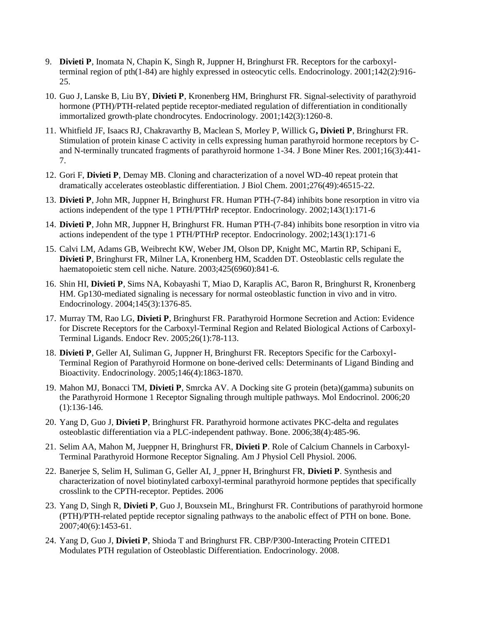- 9. **Divieti P**, Inomata N, Chapin K, Singh R, Juppner H, Bringhurst FR. Receptors for the carboxylterminal region of pth(1-84) are highly expressed in osteocytic cells. Endocrinology. 2001;142(2):916- 25.
- 10. Guo J, Lanske B, Liu BY, **Divieti P**, Kronenberg HM, Bringhurst FR. Signal-selectivity of parathyroid hormone (PTH)/PTH-related peptide receptor-mediated regulation of differentiation in conditionally immortalized growth-plate chondrocytes. Endocrinology. 2001;142(3):1260-8.
- 11. Whitfield JF, Isaacs RJ, Chakravarthy B, Maclean S, Morley P, Willick G**, Divieti P**, Bringhurst FR. Stimulation of protein kinase C activity in cells expressing human parathyroid hormone receptors by Cand N-terminally truncated fragments of parathyroid hormone 1-34. J Bone Miner Res. 2001;16(3):441- 7.
- 12. Gori F, **Divieti P**, Demay MB. Cloning and characterization of a novel WD-40 repeat protein that dramatically accelerates osteoblastic differentiation. J Biol Chem. 2001;276(49):46515-22.
- 13. **Divieti P**, John MR, Juppner H, Bringhurst FR. Human PTH-(7-84) inhibits bone resorption in vitro via actions independent of the type 1 PTH/PTHrP receptor. Endocrinology. 2002;143(1):171-6
- 14. **Divieti P**, John MR, Juppner H, Bringhurst FR. Human PTH-(7-84) inhibits bone resorption in vitro via actions independent of the type 1 PTH/PTHrP receptor. Endocrinology. 2002;143(1):171-6
- 15. Calvi LM, Adams GB, Weibrecht KW, Weber JM, Olson DP, Knight MC, Martin RP, Schipani E, **Divieti P**, Bringhurst FR, Milner LA, Kronenberg HM, Scadden DT. Osteoblastic cells regulate the haematopoietic stem cell niche. Nature. 2003;425(6960):841-6.
- 16. Shin HI, **Divieti P**, Sims NA, Kobayashi T, Miao D, Karaplis AC, Baron R, Bringhurst R, Kronenberg HM. Gp130-mediated signaling is necessary for normal osteoblastic function in vivo and in vitro. Endocrinology. 2004;145(3):1376-85.
- 17. Murray TM, Rao LG, **Divieti P**, Bringhurst FR. Parathyroid Hormone Secretion and Action: Evidence for Discrete Receptors for the Carboxyl-Terminal Region and Related Biological Actions of Carboxyl-Terminal Ligands. Endocr Rev. 2005;26(1):78-113.
- 18. **Divieti P**, Geller AI, Suliman G, Juppner H, Bringhurst FR. Receptors Specific for the Carboxyl-Terminal Region of Parathyroid Hormone on bone-derived cells: Determinants of Ligand Binding and Bioactivity. Endocrinology. 2005;146(4):1863-1870.
- 19. Mahon MJ, Bonacci TM, **Divieti P**, Smrcka AV. A Docking site G protein (beta)(gamma) subunits on the Parathyroid Hormone 1 Receptor Signaling through multiple pathways. Mol Endocrinol. 2006;20 (1):136-146.
- 20. Yang D, Guo J, **Divieti P**, Bringhurst FR. Parathyroid hormone activates PKC-delta and regulates osteoblastic differentiation via a PLC-independent pathway. Bone. 2006;38(4):485-96.
- 21. Selim AA, Mahon M, Jueppner H, Bringhurst FR, **Divieti P**. Role of Calcium Channels in Carboxyl-Terminal Parathyroid Hormone Receptor Signaling. Am J Physiol Cell Physiol. 2006.
- 22. Banerjee S, Selim H, Suliman G, Geller AI, J\_ppner H, Bringhurst FR, **Divieti P**. Synthesis and characterization of novel biotinylated carboxyl-terminal parathyroid hormone peptides that specifically crosslink to the CPTH-receptor. Peptides. 2006
- 23. Yang D, Singh R, **Divieti P**, Guo J, Bouxsein ML, Bringhurst FR. Contributions of parathyroid hormone (PTH)/PTH-related peptide receptor signaling pathways to the anabolic effect of PTH on bone. Bone. 2007;40(6):1453-61.
- 24. Yang D, Guo J, **Divieti P**, Shioda T and Bringhurst FR. CBP/P300-Interacting Protein CITED1 Modulates PTH regulation of Osteoblastic Differentiation. Endocrinology. 2008.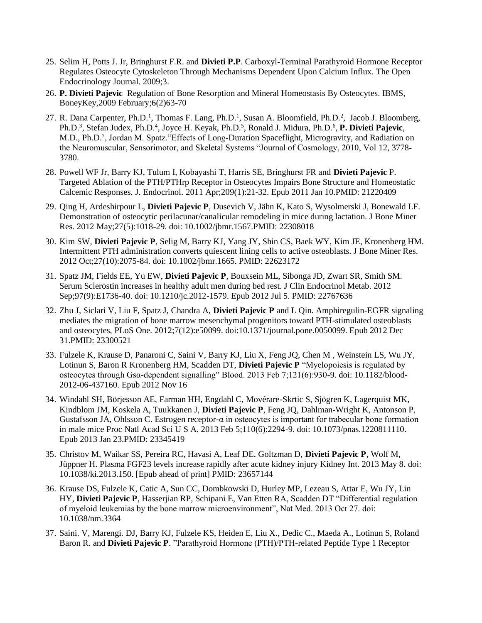- 25. Selim H, Potts J. Jr, Bringhurst F.R. and **Divieti P.P**. Carboxyl-Terminal Parathyroid Hormone Receptor Regulates Osteocyte Cytoskeleton Through Mechanisms Dependent Upon Calcium Influx. The Open Endocrinology Journal. 2009;3.
- 26. **P. Divieti Pajevic** Regulation of Bone Resorption and Mineral Homeostasis By Osteocytes. IBMS, BoneyKey,2009 February;6(2)63-70
- 27. R. Dana Carpenter, Ph.D.<sup>1</sup>, Thomas F. Lang, Ph.D.<sup>1</sup>, Susan A. Bloomfield, Ph.D.<sup>2</sup>, Jacob J. Bloomberg, Ph.D.<sup>3</sup>, Stefan Judex, Ph.D.<sup>4</sup>, Joyce H. Keyak, Ph.D.<sup>5</sup>, Ronald J. Midura, Ph.D.<sup>6</sup>, P. Divieti Pajevic, M.D., Ph.D.<sup>7</sup>, Jordan M. Spatz." Effects of Long-Duration Spaceflight, Microgravity, and Radiation on the Neuromuscular, Sensorimotor, and Skeletal Systems "Journal of Cosmology, 2010, Vol 12, 3778- 3780.
- 28. Powell WF Jr, Barry KJ, Tulum I, Kobayashi T, Harris SE, Bringhurst FR and **Divieti Pajevic** P. Targeted Ablation of the PTH/PTHrp Receptor in Osteocytes Impairs Bone Structure and Homeostatic Calcemic Responses. J. Endocrinol. 2011 Apr;209(1):21-32. Epub 2011 Jan 10.PMID: 21220409
- 29. Qing H, Ardeshirpour L, **Divieti Pajevic P**, Dusevich V, Jähn K, Kato S, Wysolmerski J, Bonewald LF. Demonstration of osteocytic perilacunar/canalicular remodeling in mice during lactation. J Bone Miner Res. 2012 May;27(5):1018-29. doi: 10.1002/jbmr.1567.PMID: 22308018
- 30. Kim SW, **Divieti Pajevic P**, Selig M, Barry KJ, Yang JY, Shin CS, Baek WY, Kim JE, Kronenberg HM. Intermittent PTH administration converts quiescent lining cells to active osteoblasts. J Bone Miner Res. 2012 Oct;27(10):2075-84. doi: 10.1002/jbmr.1665. PMID: 22623172
- 31. Spatz JM, Fields EE, Yu EW, **Divieti Pajevic P**, Bouxsein ML, Sibonga JD, Zwart SR, Smith SM. Serum Sclerostin increases in healthy adult men during bed rest. J Clin Endocrinol Metab. 2012 Sep;97(9):E1736-40. doi: 10.1210/jc.2012-1579. Epub 2012 Jul 5. PMID: 22767636
- 32. Zhu J, Siclari V, Liu F, Spatz J, Chandra A, **Divieti Pajevic P** and L Qin. Amphiregulin-EGFR signaling mediates the migration of bone marrow mesenchymal progenitors toward PTH-stimulated osteoblasts and osteocytes, PLoS One. 2012;7(12):e50099. doi:10.1371/journal.pone.0050099. Epub 2012 Dec 31.PMID: 23300521
- 33. Fulzele K, Krause D, Panaroni C, Saini V, Barry KJ, Liu X, Feng JQ, Chen M , Weinstein LS, Wu JY, Lotinun S, Baron R Kronenberg HM, Scadden DT, **Divieti Pajevic P** "Myelopoiesis is regulated by osteocytes through Gsα-dependent signalling" Blood. 2013 Feb 7;121(6):930-9. doi: 10.1182/blood-2012-06-437160. Epub 2012 Nov 16
- 34. Windahl SH, Börjesson AE, Farman HH, Engdahl C, Movérare-Skrtic S, Sjögren K, Lagerquist MK, Kindblom JM, Koskela A, Tuukkanen J, **Divieti Pajevic P**, Feng JQ, Dahlman-Wright K, Antonson P, Gustafsson JA, Ohlsson C. Estrogen receptor-α in osteocytes is important for trabecular bone formation in male mice Proc Natl Acad Sci U S A. 2013 Feb 5;110(6):2294-9. doi: 10.1073/pnas.1220811110. Epub 2013 Jan 23.PMID: 23345419
- 35. Christov M, Waikar SS, Pereira RC, Havasi A, Leaf DE, Goltzman D, **Divieti Pajevic P**, Wolf M, Jüppner H. Plasma FGF23 levels increase rapidly after acute kidney injury Kidney Int. 2013 May 8. doi: 10.1038/ki.2013.150. [Epub ahead of print] PMID: 23657144
- 36. Krause DS, Fulzele K, Catic A, Sun CC, Dombkowski D, Hurley MP, Lezeau S, Attar E, Wu JY, Lin HY, **Divieti Pajevic P**, Hasserjian RP, Schipani E, Van Etten RA, Scadden DT "Differential regulation of myeloid leukemias by the bone marrow microenvironment", Nat Med. 2013 Oct 27. doi: 10.1038/nm.3364
- 37. Saini. V, Marengi. DJ, Barry KJ, Fulzele KS, Heiden E, Liu X., Dedic C., Maeda A., Lotinun S, Roland Baron R. and **Divieti Pajevic P**. "Parathyroid Hormone (PTH)/PTH-related Peptide Type 1 Receptor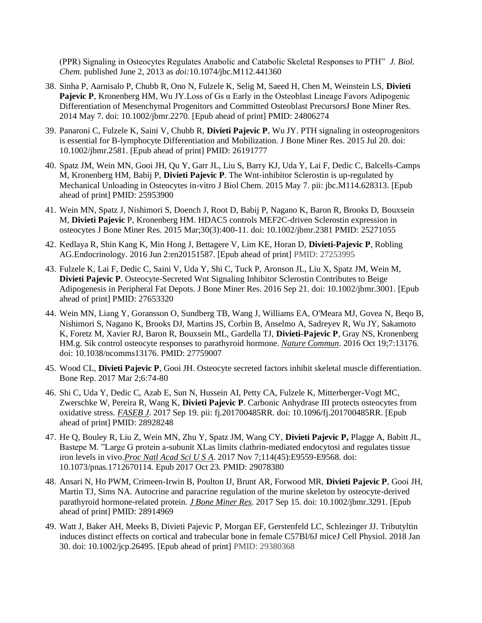(PPR) Signaling in Osteocytes Regulates Anabolic and Catabolic Skeletal Responses to PTH" *J. Biol. Chem.* published June 2, 2013 as *doi:*10.1074/jbc.M112.441360

- 38. Sinha P, Aarnisalo P, Chubb R, Ono N, Fulzele K, Selig M, Saeed H, Chen M, Weinstein LS, **Divieti Pajevic P**, Kronenberg HM, Wu JY.Loss of Gs α Early in the Osteoblast Lineage Favors Adipogenic Differentiation of Mesenchymal Progenitors and Committed Osteoblast PrecursorsJ Bone Miner Res. 2014 May 7. doi: 10.1002/jbmr.2270. [Epub ahead of print] PMID: 24806274
- 39. Panaroni C, Fulzele K, Saini V, Chubb R, **Divieti Pajevic P**, Wu JY. PTH signaling in osteoprogenitors is essential for B-lymphocyte Differentiation and Mobilization. J Bone Miner Res. 2015 Jul 20. doi: 10.1002/jbmr.2581. [Epub ahead of print] PMID: 26191777
- 40. Spatz JM, Wein MN, Gooi JH, Qu Y, Garr JL, Liu S, Barry KJ, Uda Y, Lai F, Dedic C, Balcells-Camps M, Kronenberg HM, Babij P, **Divieti Pajevic P**. The Wnt-inhibitor Sclerostin is up-regulated by Mechanical Unloading in Osteocytes in-vitro J Biol Chem. 2015 May 7. pii: jbc.M114.628313. [Epub ahead of print] PMID: 25953900
- 41. Wein MN, Spatz J, Nishimori S, Doench J, Root D, Babij P, Nagano K, Baron R, Brooks D, Bouxsein M, **Divieti Pajevic** P, Kronenberg HM. HDAC5 controls MEF2C-driven Sclerostin expression in osteocytes J Bone Miner Res. 2015 Mar;30(3):400-11. doi: 10.1002/jbmr.2381 PMID: 25271055
- 42. Kedlaya R, Shin Kang K, Min Hong J, Bettagere V, Lim KE, Horan D, **Divieti-Pajevic P**, Robling AG.Endocrinology. 2016 Jun 2:en20151587. [Epub ahead of print] PMID: 27253995
- 43. Fulzele K, Lai F, Dedic C, Saini V, Uda Y, Shi C, Tuck P, Aronson JL, Liu X, Spatz JM, Wein M, **Divieti Pajevic P**. Osteocyte-Secreted Wnt Signaling Inhibitor Sclerostin Contributes to Beige Adipogenesis in Peripheral Fat Depots. J Bone Miner Res. 2016 Sep 21. doi: 10.1002/jbmr.3001. [Epub ahead of print] PMID: 27653320
- 44. Wein MN, Liang Y, Goransson O, Sundberg TB, Wang J, Williams EA, O'Meara MJ, Govea N, Beqo B, Nishimori S, Nagano K, Brooks DJ, Martins JS, Corbin B, Anselmo A, Sadreyev R, Wu JY, Sakamoto K, Foretz M, Xavier RJ, Baron R, Bouxsein ML, Gardella TJ, **Divieti-Pajevic P**, Gray NS, Kronenberg HM.g. Sik control osteocyte responses to parathyroid hormone. *Nature Commun*. 2016 Oct 19;7:13176. doi: 10.1038/ncomms13176. PMID: 27759007
- 45. Wood CL, **Divieti Pajevic P**, Gooi JH. Osteocyte secreted factors inhibit skeletal muscle differentiation. Bone Rep. 2017 Mar 2;6:74-80
- 46. Shi C, Uda Y, Dedic C, Azab E, Sun N, Hussein AI, Petty CA, Fulzele K, Mitterberger-Vogt MC, Zwerschke W, Pereira R, Wang K, **Divieti Pajevic P**. Carbonic Anhydrase III protects osteocytes from oxidative stress. *FASEB J*. 2017 Sep 19. pii: fj.201700485RR. doi: 10.1096/fj.201700485RR. [Epub ahead of print] PMID: 28928248
- 47. He Q, Bouley R, Liu Z, Wein MN, Zhu Y, Spatz JM, Wang CY, **Divieti Pajevic P,** Plagge A, Babitt JL, Bastepe M. "Large G protein a-subunit XLas limits clathrin-mediated endocytosi and regulates tissue iron levels in vivo.*Proc Natl Acad Sci U S A*. 2017 Nov 7;114(45):E9559-E9568. doi: 10.1073/pnas.1712670114. Epub 2017 Oct 23. PMID: 29078380
- 48. Ansari N, Ho PWM, Crimeen-Irwin B, Poulton IJ, Brunt AR, Forwood MR, **Divieti Pajevic P**, Gooi JH, Martin TJ, Sims NA. Autocrine and paracrine regulation of the murine skeleton by osteocyte-derived parathyroid hormone-related protein. *J Bone Miner Res*. 2017 Sep 15. doi: 10.1002/jbmr.3291. [Epub ahead of print] PMID: 28914969
- 49. Watt J, Baker AH, Meeks B, Divieti Pajevic P, Morgan EF, Gerstenfeld LC, Schlezinger JJ. Tributyltin induces distinct effects on cortical and trabecular bone in female C57Bl/6J miceJ Cell Physiol. 2018 Jan 30. doi: 10.1002/jcp.26495. [Epub ahead of print] PMID: 29380368